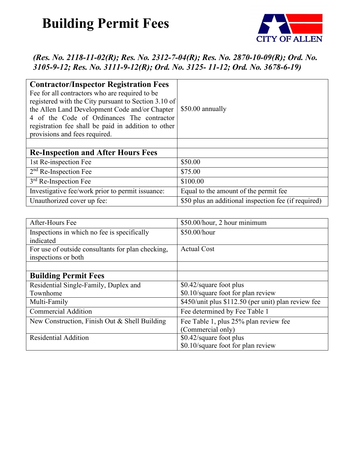## **Building Permit Fees**



## *(Res. No. 2118-11-02(R); Res. No. 2312-7-04(R); Res. No. 2870-10-09(R); Ord. No. 3105-9-12; Res. No. 3111-9-12(R); Ord. No. 3125- 11-12; Ord. No. 3678-6-19)*

| <b>Contractor/Inspector Registration Fees</b><br>Fee for all contractors who are required to be<br>registered with the City pursuant to Section 3.10 of<br>the Allen Land Development Code and/or Chapter<br>4 of the Code of Ordinances The contractor<br>registration fee shall be paid in addition to other<br>provisions and fees required. | \$50.00 annually                                     |
|-------------------------------------------------------------------------------------------------------------------------------------------------------------------------------------------------------------------------------------------------------------------------------------------------------------------------------------------------|------------------------------------------------------|
|                                                                                                                                                                                                                                                                                                                                                 |                                                      |
| <b>Re-Inspection and After Hours Fees</b>                                                                                                                                                                                                                                                                                                       |                                                      |
| 1st Re-inspection Fee                                                                                                                                                                                                                                                                                                                           | \$50.00                                              |
| $2nd$ Re-Inspection Fee                                                                                                                                                                                                                                                                                                                         | \$75.00                                              |
| $3rd$ Re-Inspection Fee                                                                                                                                                                                                                                                                                                                         | \$100.00                                             |
| Investigative fee/work prior to permit issuance:                                                                                                                                                                                                                                                                                                | Equal to the amount of the permit fee                |
| Unauthorized cover up fee:                                                                                                                                                                                                                                                                                                                      | \$50 plus an additional inspection fee (if required) |

| After-Hours Fee                                   | \$50.00/hour, 2 hour minimum                        |
|---------------------------------------------------|-----------------------------------------------------|
| Inspections in which no fee is specifically       | \$50.00/hour                                        |
| indicated                                         |                                                     |
| For use of outside consultants for plan checking, | <b>Actual Cost</b>                                  |
| inspections or both                               |                                                     |
|                                                   |                                                     |
| <b>Building Permit Fees</b>                       |                                                     |
| Residential Single-Family, Duplex and             | \$0.42/square foot plus                             |
| Townhome                                          | \$0.10/square foot for plan review                  |
| Multi-Family                                      | \$450/unit plus \$112.50 (per unit) plan review fee |
| <b>Commercial Addition</b>                        | Fee determined by Fee Table 1                       |
| New Construction, Finish Out & Shell Building     | Fee Table 1, plus 25% plan review fee               |
|                                                   | (Commercial only)                                   |
| <b>Residential Addition</b>                       | \$0.42/square foot plus                             |
|                                                   | \$0.10/square foot for plan review                  |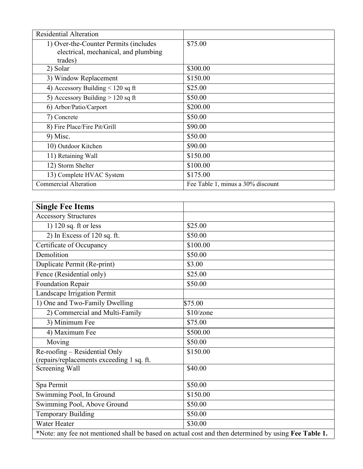| <b>Residential Alteration</b>         |                                   |
|---------------------------------------|-----------------------------------|
| 1) Over-the-Counter Permits (includes | \$75.00                           |
| electrical, mechanical, and plumbing  |                                   |
| trades)                               |                                   |
| 2) Solar                              | \$300.00                          |
| 3) Window Replacement                 | \$150.00                          |
| 4) Accessory Building $< 120$ sq ft   | \$25.00                           |
| 5) Accessory Building $> 120$ sq ft   | \$50.00                           |
| 6) Arbor/Patio/Carport                | \$200.00                          |
| 7) Concrete                           | \$50.00                           |
| 8) Fire Place/Fire Pit/Grill          | \$90.00                           |
| $9)$ Misc.                            | \$50.00                           |
| 10) Outdoor Kitchen                   | \$90.00                           |
| 11) Retaining Wall                    | \$150.00                          |
| 12) Storm Shelter                     | \$100.00                          |
| 13) Complete HVAC System              | \$175.00                          |
| <b>Commercial Alteration</b>          | Fee Table 1, minus a 30% discount |

| <b>Single Fee Items</b>                   |                                                                                                      |
|-------------------------------------------|------------------------------------------------------------------------------------------------------|
| <b>Accessory Structures</b>               |                                                                                                      |
| 1) 120 sq. ft or less                     | \$25.00                                                                                              |
| 2) In Excess of 120 sq. ft.               | \$50.00                                                                                              |
| Certificate of Occupancy                  | \$100.00                                                                                             |
| Demolition                                | \$50.00                                                                                              |
| Duplicate Permit (Re-print)               | \$3.00                                                                                               |
| Fence (Residential only)                  | \$25.00                                                                                              |
| <b>Foundation Repair</b>                  | \$50.00                                                                                              |
| Landscape Irrigation Permit               |                                                                                                      |
| 1) One and Two-Family Dwelling            | \$75.00                                                                                              |
| 2) Commercial and Multi-Family            | \$10/zone                                                                                            |
| 3) Minimum Fee                            | \$75.00                                                                                              |
| 4) Maximum Fee                            | \$500.00                                                                                             |
| Moving                                    | \$50.00                                                                                              |
| Re-roofing – Residential Only             | \$150.00                                                                                             |
| (repairs/replacements exceeding 1 sq. ft. |                                                                                                      |
| Screening Wall                            | \$40.00                                                                                              |
| Spa Permit                                | \$50.00                                                                                              |
| Swimming Pool, In Ground                  | \$150.00                                                                                             |
| Swimming Pool, Above Ground               | \$50.00                                                                                              |
| <b>Temporary Building</b>                 | \$50.00                                                                                              |
| Water Heater                              | \$30.00                                                                                              |
|                                           | *Note: any fee not mentioned shall be based on actual cost and then determined by using Fee Table 1. |